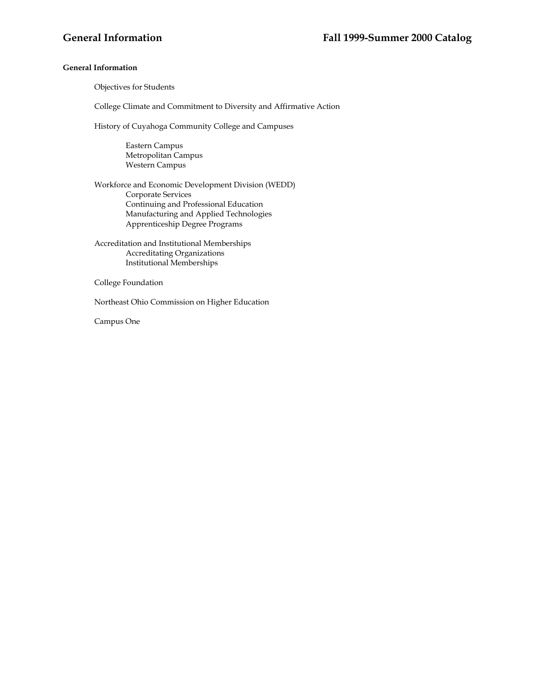## **General Information**

Objectives for Students

College Climate and Commitment to Diversity and Affirmative Action

History of Cuyahoga Community College and Campuses

Eastern Campus Metropolitan Campus Western Campus

Workforce and Economic Development Division (WEDD) Corporate Services Continuing and Professional Education Manufacturing and Applied Technologies Apprenticeship Degree Programs

Accreditation and Institutional Memberships Accreditating Organizations Institutional Memberships

College Foundation

Northeast Ohio Commission on Higher Education

Campus One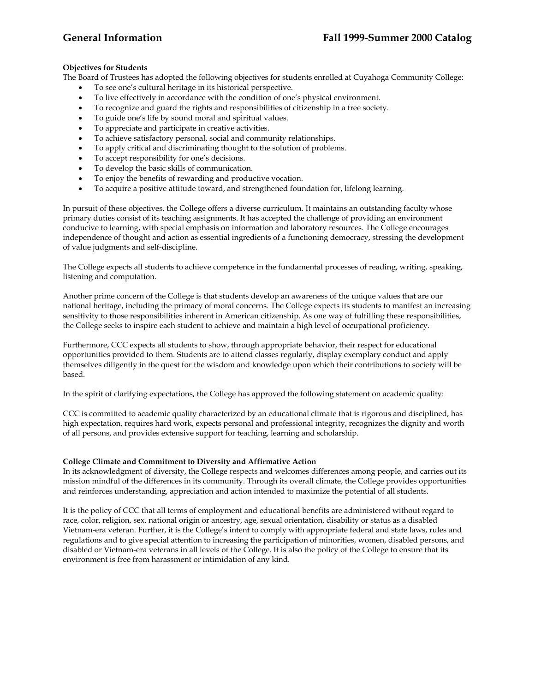# **Objectives for Students**

The Board of Trustees has adopted the following objectives for students enrolled at Cuyahoga Community College:

- To see one's cultural heritage in its historical perspective.
- To live effectively in accordance with the condition of one's physical environment.
- To recognize and guard the rights and responsibilities of citizenship in a free society.
- To guide one's life by sound moral and spiritual values.
- To appreciate and participate in creative activities.
- To achieve satisfactory personal, social and community relationships.
- To apply critical and discriminating thought to the solution of problems.
- To accept responsibility for one's decisions.
- To develop the basic skills of communication.
- To enjoy the benefits of rewarding and productive vocation.
- To acquire a positive attitude toward, and strengthened foundation for, lifelong learning.

In pursuit of these objectives, the College offers a diverse curriculum. It maintains an outstanding faculty whose primary duties consist of its teaching assignments. It has accepted the challenge of providing an environment conducive to learning, with special emphasis on information and laboratory resources. The College encourages independence of thought and action as essential ingredients of a functioning democracy, stressing the development of value judgments and self-discipline.

The College expects all students to achieve competence in the fundamental processes of reading, writing, speaking, listening and computation.

Another prime concern of the College is that students develop an awareness of the unique values that are our national heritage, including the primacy of moral concerns. The College expects its students to manifest an increasing sensitivity to those responsibilities inherent in American citizenship. As one way of fulfilling these responsibilities, the College seeks to inspire each student to achieve and maintain a high level of occupational proficiency.

Furthermore, CCC expects all students to show, through appropriate behavior, their respect for educational opportunities provided to them. Students are to attend classes regularly, display exemplary conduct and apply themselves diligently in the quest for the wisdom and knowledge upon which their contributions to society will be based.

In the spirit of clarifying expectations, the College has approved the following statement on academic quality:

CCC is committed to academic quality characterized by an educational climate that is rigorous and disciplined, has high expectation, requires hard work, expects personal and professional integrity, recognizes the dignity and worth of all persons, and provides extensive support for teaching, learning and scholarship.

## **College Climate and Commitment to Diversity and Affirmative Action**

In its acknowledgment of diversity, the College respects and welcomes differences among people, and carries out its mission mindful of the differences in its community. Through its overall climate, the College provides opportunities and reinforces understanding, appreciation and action intended to maximize the potential of all students.

It is the policy of CCC that all terms of employment and educational benefits are administered without regard to race, color, religion, sex, national origin or ancestry, age, sexual orientation, disability or status as a disabled Vietnam-era veteran. Further, it is the College's intent to comply with appropriate federal and state laws, rules and regulations and to give special attention to increasing the participation of minorities, women, disabled persons, and disabled or Vietnam-era veterans in all levels of the College. It is also the policy of the College to ensure that its environment is free from harassment or intimidation of any kind.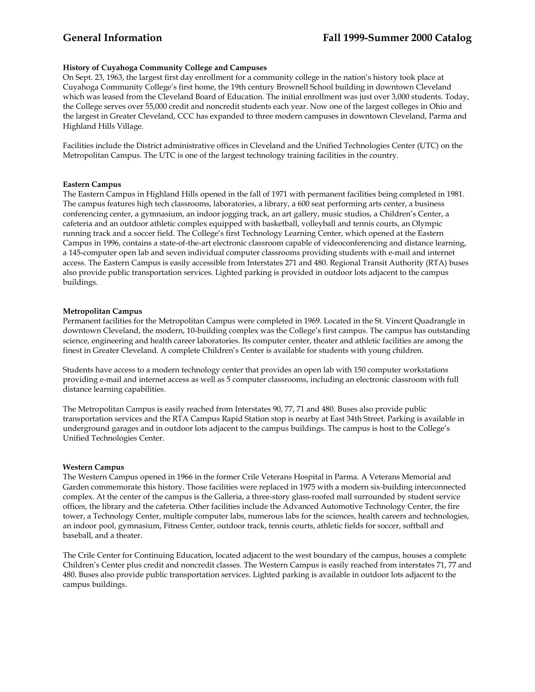# **History of Cuyahoga Community College and Campuses**

On Sept. 23, 1963, the largest first day enrollment for a community college in the nation's history took place at Cuyahoga Community College's first home, the 19th century Brownell School building in downtown Cleveland which was leased from the Cleveland Board of Education. The initial enrollment was just over 3,000 students. Today, the College serves over 55,000 credit and noncredit students each year. Now one of the largest colleges in Ohio and the largest in Greater Cleveland, CCC has expanded to three modern campuses in downtown Cleveland, Parma and Highland Hills Village.

Facilities include the District administrative offices in Cleveland and the Unified Technologies Center (UTC) on the Metropolitan Campus. The UTC is one of the largest technology training facilities in the country.

### **Eastern Campus**

The Eastern Campus in Highland Hills opened in the fall of 1971 with permanent facilities being completed in 1981. The campus features high tech classrooms, laboratories, a library, a 600 seat performing arts center, a business conferencing center, a gymnasium, an indoor jogging track, an art gallery, music studios, a Children's Center, a cafeteria and an outdoor athletic complex equipped with basketball, volleyball and tennis courts, an Olympic running track and a soccer field. The College's first Technology Learning Center, which opened at the Eastern Campus in 1996, contains a state-of-the-art electronic classroom capable of videoconferencing and distance learning, a 145-computer open lab and seven individual computer classrooms providing students with e-mail and internet access. The Eastern Campus is easily accessible from Interstates 271 and 480. Regional Transit Authority (RTA) buses also provide public transportation services. Lighted parking is provided in outdoor lots adjacent to the campus buildings.

### **Metropolitan Campus**

Permanent facilities for the Metropolitan Campus were completed in 1969. Located in the St. Vincent Quadrangle in downtown Cleveland, the modern, 10-building complex was the College's first campus. The campus has outstanding science, engineering and health career laboratories. Its computer center, theater and athletic facilities are among the finest in Greater Cleveland. A complete Children's Center is available for students with young children.

Students have access to a modern technology center that provides an open lab with 150 computer workstations providing e-mail and internet access as well as 5 computer classrooms, including an electronic classroom with full distance learning capabilities.

The Metropolitan Campus is easily reached from Interstates 90, 77, 71 and 480. Buses also provide public transportation services and the RTA Campus Rapid Station stop is nearby at East 34th Street. Parking is available in underground garages and in outdoor lots adjacent to the campus buildings. The campus is host to the College's Unified Technologies Center.

### **Western Campus**

The Western Campus opened in 1966 in the former Crile Veterans Hospital in Parma. A Veterans Memorial and Garden commemorate this history. Those facilities were replaced in 1975 with a modern six-building interconnected complex. At the center of the campus is the Galleria, a three-story glass-roofed mall surrounded by student service offices, the library and the cafeteria. Other facilities include the Advanced Automotive Technology Center, the fire tower, a Technology Center, multiple computer labs, numerous labs for the sciences, health careers and technologies, an indoor pool, gymnasium, Fitness Center, outdoor track, tennis courts, athletic fields for soccer, softball and baseball, and a theater.

The Crile Center for Continuing Education, located adjacent to the west boundary of the campus, houses a complete Children's Center plus credit and noncredit classes. The Western Campus is easily reached from interstates 71, 77 and 480. Buses also provide public transportation services. Lighted parking is available in outdoor lots adjacent to the campus buildings.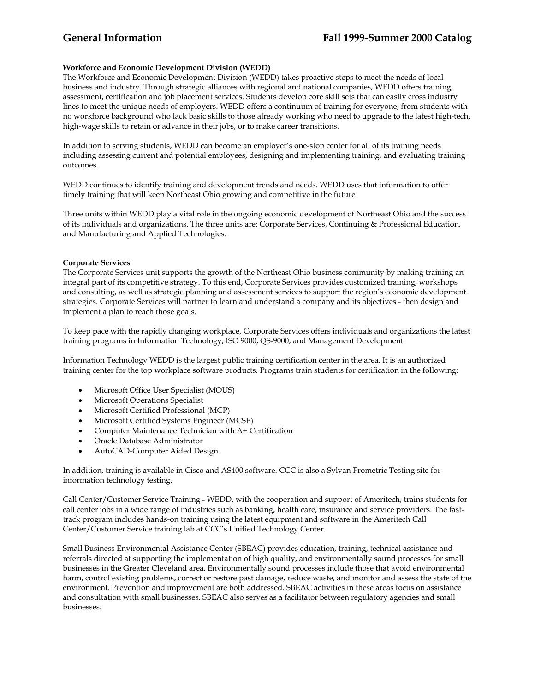# **Workforce and Economic Development Division (WEDD)**

The Workforce and Economic Development Division (WEDD) takes proactive steps to meet the needs of local business and industry. Through strategic alliances with regional and national companies, WEDD offers training, assessment, certification and job placement services. Students develop core skill sets that can easily cross industry lines to meet the unique needs of employers. WEDD offers a continuum of training for everyone, from students with no workforce background who lack basic skills to those already working who need to upgrade to the latest high-tech, high-wage skills to retain or advance in their jobs, or to make career transitions.

In addition to serving students, WEDD can become an employer's one-stop center for all of its training needs including assessing current and potential employees, designing and implementing training, and evaluating training outcomes.

WEDD continues to identify training and development trends and needs. WEDD uses that information to offer timely training that will keep Northeast Ohio growing and competitive in the future

Three units within WEDD play a vital role in the ongoing economic development of Northeast Ohio and the success of its individuals and organizations. The three units are: Corporate Services, Continuing & Professional Education, and Manufacturing and Applied Technologies.

### **Corporate Services**

The Corporate Services unit supports the growth of the Northeast Ohio business community by making training an integral part of its competitive strategy. To this end, Corporate Services provides customized training, workshops and consulting, as well as strategic planning and assessment services to support the region's economic development strategies. Corporate Services will partner to learn and understand a company and its objectives - then design and implement a plan to reach those goals.

To keep pace with the rapidly changing workplace, Corporate Services offers individuals and organizations the latest training programs in Information Technology, ISO 9000, QS-9000, and Management Development.

Information Technology WEDD is the largest public training certification center in the area. It is an authorized training center for the top workplace software products. Programs train students for certification in the following:

- Microsoft Office User Specialist (MOUS)
- Microsoft Operations Specialist
- Microsoft Certified Professional (MCP)
- Microsoft Certified Systems Engineer (MCSE)
- Computer Maintenance Technician with A+ Certification
- Oracle Database Administrator
- AutoCAD-Computer Aided Design

In addition, training is available in Cisco and AS400 software. CCC is also a Sylvan Prometric Testing site for information technology testing.

Call Center/Customer Service Training - WEDD, with the cooperation and support of Ameritech, trains students for call center jobs in a wide range of industries such as banking, health care, insurance and service providers. The fasttrack program includes hands-on training using the latest equipment and software in the Ameritech Call Center/Customer Service training lab at CCC's Unified Technology Center.

Small Business Environmental Assistance Center (SBEAC) provides education, training, technical assistance and referrals directed at supporting the implementation of high quality, and environmentally sound processes for small businesses in the Greater Cleveland area. Environmentally sound processes include those that avoid environmental harm, control existing problems, correct or restore past damage, reduce waste, and monitor and assess the state of the environment. Prevention and improvement are both addressed. SBEAC activities in these areas focus on assistance and consultation with small businesses. SBEAC also serves as a facilitator between regulatory agencies and small businesses.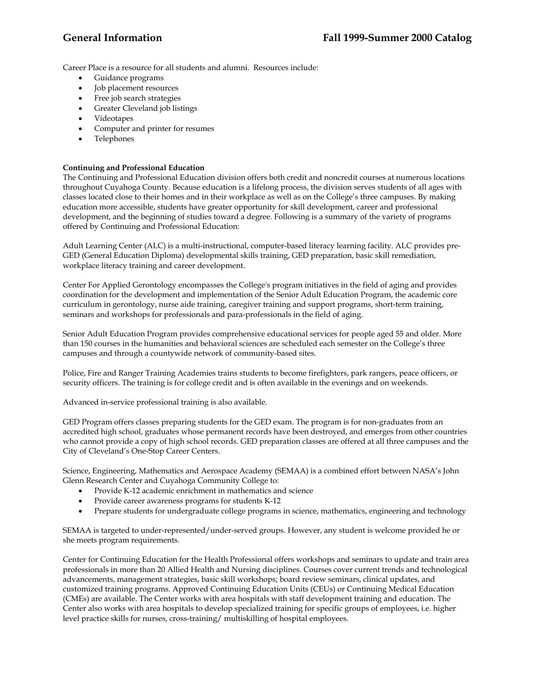Career Place is a resource for all students and alumni. Resources include:

- Guidance programs
- Job placement resources
- Free job search strategies
- Greater Cleveland job listings
- Videotapes
- Computer and printer for resumes
- Telephones

## **Continuing and Professional Education**

The Continuing and Professional Education division offers both credit and noncredit courses at numerous locations throughout Cuyahoga County. Because education is a lifelong process, the division serves students of all ages with classes located close to their homes and in their workplace as well as on the College's three campuses. By making education more accessible, students have greater opportunity for skill development, career and professional development, and the beginning of studies toward a degree. Following is a summary of the variety of programs offered by Continuing and Professional Education:

Adult Learning Center (ALC) is a multi-instructional, computer-based literacy learning facility. ALC provides pre-GED (General Education Diploma) developmental skills training, GED preparation, basic skill remediation, workplace literacy training and career development.

Center For Applied Gerontology encompasses the College's program initiatives in the field of aging and provides coordination for the development and implementation of the Senior Adult Education Program, the academic core curriculum in gerontology, nurse aide training, caregiver training and support programs, short-term training, seminars and workshops for professionals and para-professionals in the field of aging.

Senior Adult Education Program provides comprehensive educational services for people aged 55 and older. More than 150 courses in the humanities and behavioral sciences are scheduled each semester on the College's three campuses and through a countywide network of community-based sites.

Police, Fire and Ranger Training Academies trains students to become firefighters, park rangers, peace officers, or security officers. The training is for college credit and is often available in the evenings and on weekends.

Advanced in-service professional training is also available.

GED Program offers classes preparing students for the GED exam. The program is for non-graduates from an accredited high school, graduates whose permanent records have been destroyed, and emerges from other countries who cannot provide a copy of high school records. GED preparation classes are offered at all three campuses and the City of Cleveland's One-Stop Career Centers.

Science, Engineering, Mathematics and Aerospace Academy (SEMAA) is a combined effort between NASA's John Glenn Research Center and Cuyahoga Community College to:

- Provide K-12 academic enrichment in mathematics and science
- Provide career awareness programs for students K-12
- Prepare students for undergraduate college programs in science, mathematics, engineering and technology

SEMAA is targeted to under-represented/under-served groups. However, any student is welcome provided he or she meets program requirements.

Center for Continuing Education for the Health Professional offers workshops and seminars to update and train area professionals in more than 20 Allied Health and Nursing disciplines. Courses cover current trends and technological advancements, management strategies, basic skill workshops; board review seminars, clinical updates, and customized training programs. Approved Continuing Education Units (CEUs) or Continuing Medical Education (CMEs) are available. The Center works with area hospitals with staff development training and education. The Center also works with area hospitals to develop specialized training for specific groups of employees, i.e. higher level practice skills for nurses, cross-training/ multiskilling of hospital employees.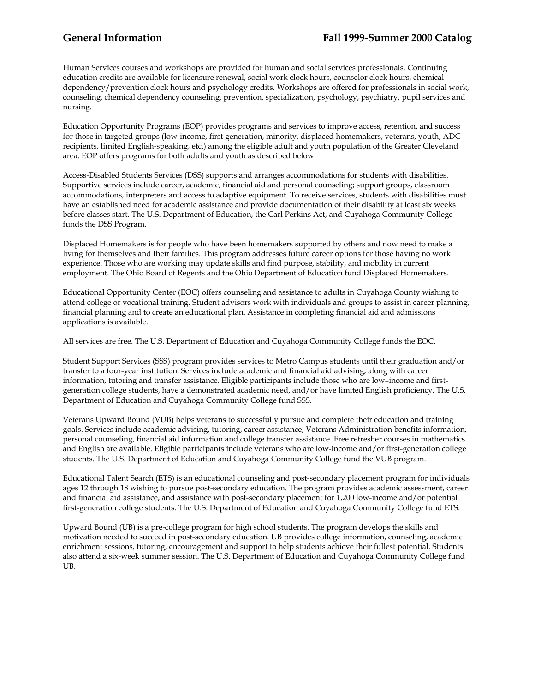Human Services courses and workshops are provided for human and social services professionals. Continuing education credits are available for licensure renewal, social work clock hours, counselor clock hours, chemical dependency/prevention clock hours and psychology credits. Workshops are offered for professionals in social work, counseling, chemical dependency counseling, prevention, specialization, psychology, psychiatry, pupil services and nursing.

Education Opportunity Programs (EOP) provides programs and services to improve access, retention, and success for those in targeted groups (low-income, first generation, minority, displaced homemakers, veterans, youth, ADC recipients, limited English-speaking, etc.) among the eligible adult and youth population of the Greater Cleveland area. EOP offers programs for both adults and youth as described below:

Access-Disabled Students Services (DSS) supports and arranges accommodations for students with disabilities. Supportive services include career, academic, financial aid and personal counseling; support groups, classroom accommodations, interpreters and access to adaptive equipment. To receive services, students with disabilities must have an established need for academic assistance and provide documentation of their disability at least six weeks before classes start. The U.S. Department of Education, the Carl Perkins Act, and Cuyahoga Community College funds the DSS Program.

Displaced Homemakers is for people who have been homemakers supported by others and now need to make a living for themselves and their families. This program addresses future career options for those having no work experience. Those who are working may update skills and find purpose, stability, and mobility in current employment. The Ohio Board of Regents and the Ohio Department of Education fund Displaced Homemakers.

Educational Opportunity Center (EOC) offers counseling and assistance to adults in Cuyahoga County wishing to attend college or vocational training. Student advisors work with individuals and groups to assist in career planning, financial planning and to create an educational plan. Assistance in completing financial aid and admissions applications is available.

All services are free. The U.S. Department of Education and Cuyahoga Community College funds the EOC.

Student Support Services (SSS) program provides services to Metro Campus students until their graduation and/or transfer to a four-year institution. Services include academic and financial aid advising, along with career information, tutoring and transfer assistance. Eligible participants include those who are low–income and firstgeneration college students, have a demonstrated academic need, and/or have limited English proficiency. The U.S. Department of Education and Cuyahoga Community College fund SSS.

Veterans Upward Bound (VUB) helps veterans to successfully pursue and complete their education and training goals. Services include academic advising, tutoring, career assistance, Veterans Administration benefits information, personal counseling, financial aid information and college transfer assistance. Free refresher courses in mathematics and English are available. Eligible participants include veterans who are low-income and/or first-generation college students. The U.S. Department of Education and Cuyahoga Community College fund the VUB program.

Educational Talent Search (ETS) is an educational counseling and post-secondary placement program for individuals ages 12 through 18 wishing to pursue post-secondary education. The program provides academic assessment, career and financial aid assistance, and assistance with post-secondary placement for 1,200 low-income and/or potential first-generation college students. The U.S. Department of Education and Cuyahoga Community College fund ETS.

Upward Bound (UB) is a pre-college program for high school students. The program develops the skills and motivation needed to succeed in post-secondary education. UB provides college information, counseling, academic enrichment sessions, tutoring, encouragement and support to help students achieve their fullest potential. Students also attend a six-week summer session. The U.S. Department of Education and Cuyahoga Community College fund UB.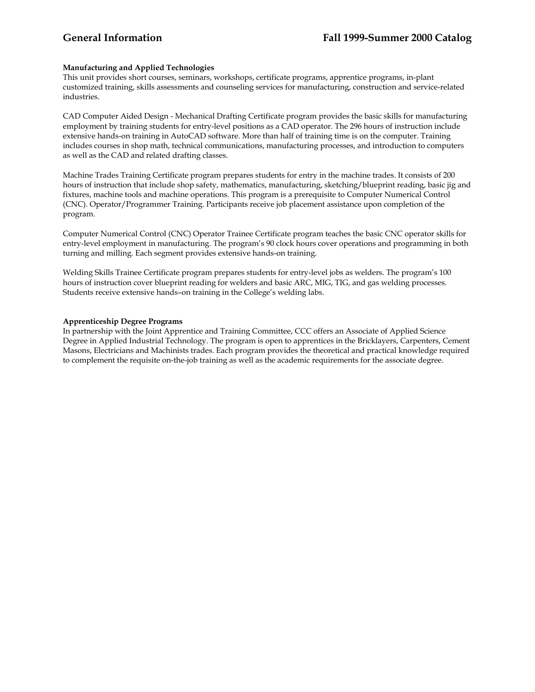## **Manufacturing and Applied Technologies**

This unit provides short courses, seminars, workshops, certificate programs, apprentice programs, in-plant customized training, skills assessments and counseling services for manufacturing, construction and service-related industries.

CAD Computer Aided Design - Mechanical Drafting Certificate program provides the basic skills for manufacturing employment by training students for entry-level positions as a CAD operator. The 296 hours of instruction include extensive hands-on training in AutoCAD software. More than half of training time is on the computer. Training includes courses in shop math, technical communications, manufacturing processes, and introduction to computers as well as the CAD and related drafting classes.

Machine Trades Training Certificate program prepares students for entry in the machine trades. It consists of 200 hours of instruction that include shop safety, mathematics, manufacturing, sketching/blueprint reading, basic jig and fixtures, machine tools and machine operations. This program is a prerequisite to Computer Numerical Control (CNC). Operator/Programmer Training. Participants receive job placement assistance upon completion of the program.

Computer Numerical Control (CNC) Operator Trainee Certificate program teaches the basic CNC operator skills for entry-level employment in manufacturing. The program's 90 clock hours cover operations and programming in both turning and milling. Each segment provides extensive hands-on training.

Welding Skills Trainee Certificate program prepares students for entry-level jobs as welders. The program's 100 hours of instruction cover blueprint reading for welders and basic ARC, MIG, TIG, and gas welding processes. Students receive extensive hands–on training in the College's welding labs.

### **Apprenticeship Degree Programs**

In partnership with the Joint Apprentice and Training Committee, CCC offers an Associate of Applied Science Degree in Applied Industrial Technology. The program is open to apprentices in the Bricklayers, Carpenters, Cement Masons, Electricians and Machinists trades. Each program provides the theoretical and practical knowledge required to complement the requisite on-the-job training as well as the academic requirements for the associate degree.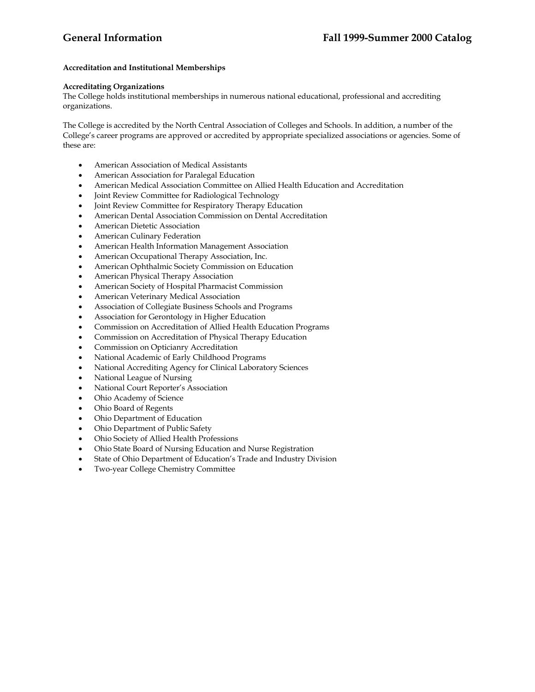## **Accreditation and Institutional Memberships**

# **Accreditating Organizations**

The College holds institutional memberships in numerous national educational, professional and accrediting organizations.

The College is accredited by the North Central Association of Colleges and Schools. In addition, a number of the College's career programs are approved or accredited by appropriate specialized associations or agencies. Some of these are:

- American Association of Medical Assistants
- American Association for Paralegal Education
- American Medical Association Committee on Allied Health Education and Accreditation
- Joint Review Committee for Radiological Technology
- Joint Review Committee for Respiratory Therapy Education
- American Dental Association Commission on Dental Accreditation
- American Dietetic Association
- American Culinary Federation
- American Health Information Management Association
- American Occupational Therapy Association, Inc.
- American Ophthalmic Society Commission on Education
- American Physical Therapy Association
- American Society of Hospital Pharmacist Commission
- American Veterinary Medical Association
- Association of Collegiate Business Schools and Programs
- Association for Gerontology in Higher Education
- Commission on Accreditation of Allied Health Education Programs
- Commission on Accreditation of Physical Therapy Education
- Commission on Opticianry Accreditation
- National Academic of Early Childhood Programs
- National Accrediting Agency for Clinical Laboratory Sciences
- National League of Nursing
- National Court Reporter's Association
- Ohio Academy of Science
- Ohio Board of Regents
- Ohio Department of Education
- Ohio Department of Public Safety
- Ohio Society of Allied Health Professions
- Ohio State Board of Nursing Education and Nurse Registration
- State of Ohio Department of Education's Trade and Industry Division
- Two-year College Chemistry Committee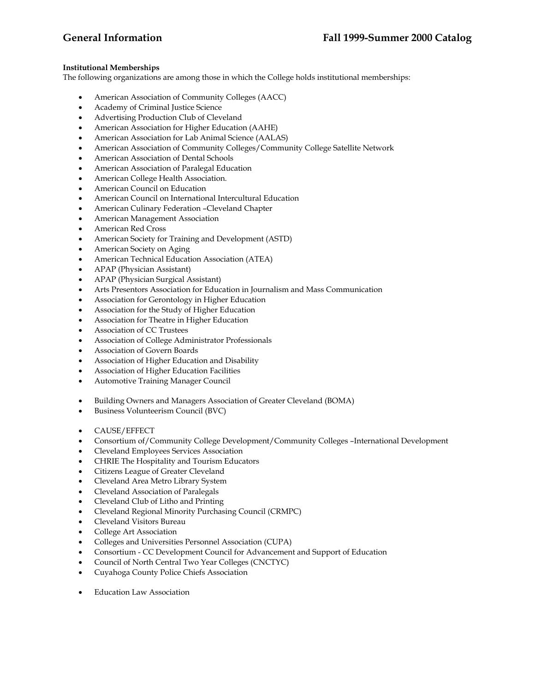## **Institutional Memberships**

The following organizations are among those in which the College holds institutional memberships:

- American Association of Community Colleges (AACC)
- Academy of Criminal Justice Science
- Advertising Production Club of Cleveland
- American Association for Higher Education (AAHE)
- American Association for Lab Animal Science (AALAS)
- American Association of Community Colleges/Community College Satellite Network
- American Association of Dental Schools
- American Association of Paralegal Education
- American College Health Association.
- American Council on Education
- American Council on International Intercultural Education
- American Culinary Federation –Cleveland Chapter
- American Management Association
- American Red Cross
- American Society for Training and Development (ASTD)
- American Society on Aging
- American Technical Education Association (ATEA)
- APAP (Physician Assistant)
- APAP (Physician Surgical Assistant)
- Arts Presentors Association for Education in Journalism and Mass Communication
- Association for Gerontology in Higher Education
- Association for the Study of Higher Education
- Association for Theatre in Higher Education
- Association of CC Trustees
- Association of College Administrator Professionals
- Association of Govern Boards
- Association of Higher Education and Disability
- Association of Higher Education Facilities
- Automotive Training Manager Council
- Building Owners and Managers Association of Greater Cleveland (BOMA)
- Business Volunteerism Council (BVC)
- CAUSE/EFFECT
- Consortium of/Community College Development/Community Colleges –International Development
- Cleveland Employees Services Association
- CHRIE The Hospitality and Tourism Educators
- Citizens League of Greater Cleveland
- Cleveland Area Metro Library System
- Cleveland Association of Paralegals
- Cleveland Club of Litho and Printing
- Cleveland Regional Minority Purchasing Council (CRMPC)
- Cleveland Visitors Bureau
- College Art Association
- Colleges and Universities Personnel Association (CUPA)
- Consortium CC Development Council for Advancement and Support of Education
- Council of North Central Two Year Colleges (CNCTYC)
- Cuyahoga County Police Chiefs Association
- **Education Law Association**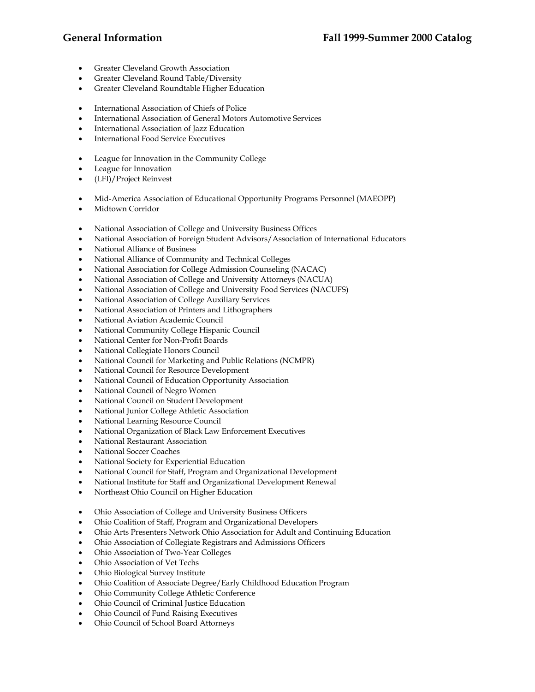- Greater Cleveland Growth Association
- Greater Cleveland Round Table/Diversity
- Greater Cleveland Roundtable Higher Education
- International Association of Chiefs of Police
- International Association of General Motors Automotive Services
- International Association of Jazz Education
- International Food Service Executives
- League for Innovation in the Community College
- League for Innovation
- (LFI)/Project Reinvest
- Mid-America Association of Educational Opportunity Programs Personnel (MAEOPP)
- Midtown Corridor
- National Association of College and University Business Offices
- National Association of Foreign Student Advisors/Association of International Educators
- National Alliance of Business
- National Alliance of Community and Technical Colleges
- National Association for College Admission Counseling (NACAC)
- National Association of College and University Attorneys (NACUA)
- National Association of College and University Food Services (NACUFS)
- National Association of College Auxiliary Services
- National Association of Printers and Lithographers
- National Aviation Academic Council
- National Community College Hispanic Council
- National Center for Non-Profit Boards
- National Collegiate Honors Council
- National Council for Marketing and Public Relations (NCMPR)
- National Council for Resource Development
- National Council of Education Opportunity Association
- National Council of Negro Women
- National Council on Student Development
- National Junior College Athletic Association
- National Learning Resource Council
- National Organization of Black Law Enforcement Executives
- National Restaurant Association
- National Soccer Coaches
- National Society for Experiential Education
- National Council for Staff, Program and Organizational Development
- National Institute for Staff and Organizational Development Renewal
- Northeast Ohio Council on Higher Education
- Ohio Association of College and University Business Officers
- Ohio Coalition of Staff, Program and Organizational Developers
- Ohio Arts Presenters Network Ohio Association for Adult and Continuing Education
- Ohio Association of Collegiate Registrars and Admissions Officers
- Ohio Association of Two-Year Colleges
- Ohio Association of Vet Techs
- Ohio Biological Survey Institute
- Ohio Coalition of Associate Degree/Early Childhood Education Program
- Ohio Community College Athletic Conference
- Ohio Council of Criminal Justice Education
- Ohio Council of Fund Raising Executives
- Ohio Council of School Board Attorneys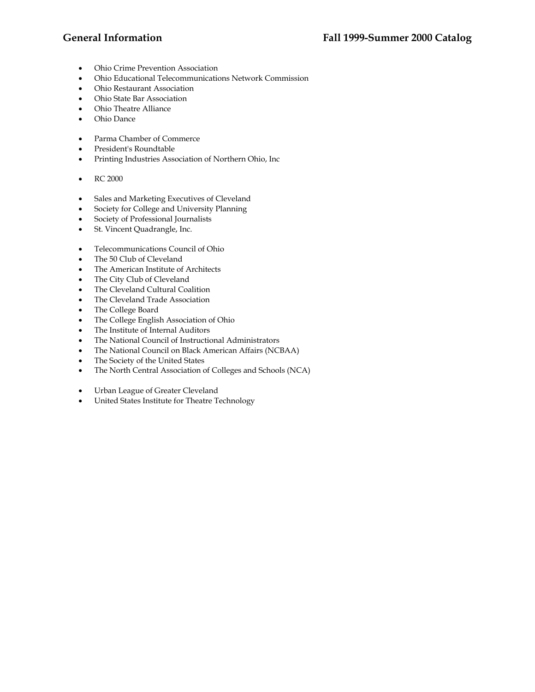- Ohio Crime Prevention Association
- Ohio Educational Telecommunications Network Commission
- Ohio Restaurant Association
- Ohio State Bar Association
- Ohio Theatre Alliance
- Ohio Dance
- Parma Chamber of Commerce
- President's Roundtable
- Printing Industries Association of Northern Ohio, Inc
- RC 2000
- Sales and Marketing Executives of Cleveland
- Society for College and University Planning
- Society of Professional Journalists
- St. Vincent Quadrangle, Inc.
- Telecommunications Council of Ohio
- The 50 Club of Cleveland
- The American Institute of Architects
- The City Club of Cleveland
- The Cleveland Cultural Coalition
- The Cleveland Trade Association
- The College Board
- The College English Association of Ohio
- The Institute of Internal Auditors
- The National Council of Instructional Administrators
- The National Council on Black American Affairs (NCBAA)
- The Society of the United States
- The North Central Association of Colleges and Schools (NCA)
- Urban League of Greater Cleveland
- United States Institute for Theatre Technology